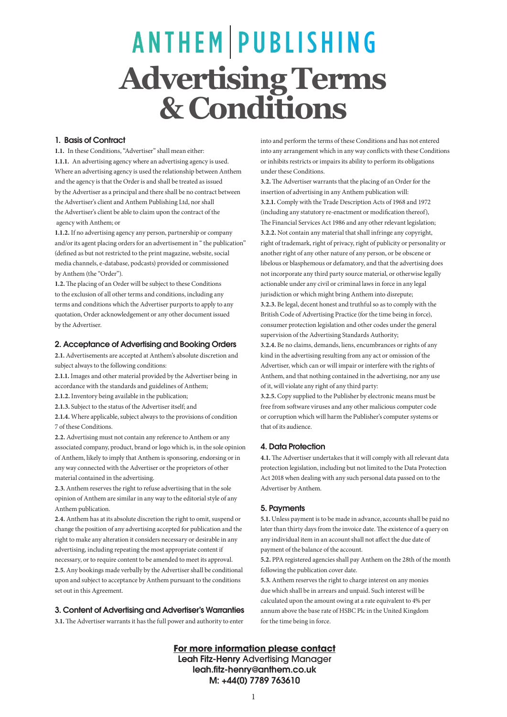# **ANTHEM PUBLISHING Advertising Terms & Conditions**

#### 1. Basis of Contract

**1.1.** In these Conditions, "Advertiser" shall mean either: **1.1.1.** An advertising agency where an advertising agency is used. Where an advertising agency is used the relationship between Anthem and the agency is that the Order is and shall be treated as issued by the Advertiser as a principal and there shall be no contract between the Advertiser's client and Anthem Publishing Ltd, nor shall the Advertiser's client be able to claim upon the contract of the agency with Anthem; or

**1.1.2.** If no advertising agency any person, partnership or company and/or its agent placing orders for an advertisement in " the publication" (defined as but not restricted to the print magazine, website, social media channels, e-database, podcasts) provided or commissioned by Anthem (the "Order").

**1.2.** The placing of an Order will be subject to these Conditions to the exclusion of all other terms and conditions, including any terms and conditions which the Advertiser purports to apply to any quotation, Order acknowledgement or any other document issued by the Advertiser.

#### 2. Acceptance of Advertising and Booking Orders

**2.1.** Advertisements are accepted at Anthem's absolute discretion and subject always to the following conditions:

**2.1.1.** Images and other material provided by the Advertiser being in accordance with the standards and guidelines of Anthem;

**2.1.2.** Inventory being available in the publication;

**2.1.3.** Subject to the status of the Advertiser itself; and

**2.1.4.** Where applicable, subject always to the provisions of condition 7 of these Conditions.

**2.2.** Advertising must not contain any reference to Anthem or any associated company, product, brand or logo which is, in the sole opinion of Anthem, likely to imply that Anthem is sponsoring, endorsing or in any way connected with the Advertiser or the proprietors of other material contained in the advertising.

**2.3.** Anthem reserves the right to refuse advertising that in the sole opinion of Anthem are similar in any way to the editorial style of any Anthem publication.

**2.4.** Anthem has at its absolute discretion the right to omit, suspend or change the position of any advertising accepted for publication and the right to make any alteration it considers necessary or desirable in any advertising, including repeating the most appropriate content if necessary, or to require content to be amended to meet its approval. **2.5.** Any bookings made verbally by the Advertiser shall be conditional upon and subject to acceptance by Anthem pursuant to the conditions set out in this Agreement.

# 3. Content of Advertising and Advertiser's Warranties

**3.1.** The Advertiser warrants it has the full power and authority to enter

into and perform the terms of these Conditions and has not entered into any arrangement which in any way conflicts with these Conditions or inhibits restricts or impairs its ability to perform its obligations under these Conditions.

**3.2.** The Advertiser warrants that the placing of an Order for the insertion of advertising in any Anthem publication will: **3.2.1.** Comply with the Trade Description Acts of 1968 and 1972 (including any statutory re-enactment or modification thereof), The Financial Services Act 1986 and any other relevant legislation; **3.2.2.** Not contain any material that shall infringe any copyright, right of trademark, right of privacy, right of publicity or personality or another right of any other nature of any person, or be obscene or libelous or blasphemous or defamatory, and that the advertising does not incorporate any third party source material, or otherwise legally actionable under any civil or criminal laws in force in any legal jurisdiction or which might bring Anthem into disrepute; **3.2.3.** Be legal, decent honest and truthful so as to comply with the British Code of Advertising Practice (for the time being in force), consumer protection legislation and other codes under the general supervision of the Advertising Standards Authority;

**3.2.4.** Be no claims, demands, liens, encumbrances or rights of any kind in the advertising resulting from any act or omission of the Advertiser, which can or will impair or interfere with the rights of Anthem, and that nothing contained in the advertising, nor any use of it, will violate any right of any third party:

**3.2.5.** Copy supplied to the Publisher by electronic means must be free from software viruses and any other malicious computer code or corruption which will harm the Publisher's computer systems or that of its audience.

## 4. Data Protection

**4.1.** The Advertiser undertakes that it will comply with all relevant data protection legislation, including but not limited to the Data Protection Act 2018 when dealing with any such personal data passed on to the Advertiser by Anthem.

## 5. Payments

**5.1.** Unless payment is to be made in advance, accounts shall be paid no later than thirty days from the invoice date. The existence of a query on any individual item in an account shall not affect the due date of payment of the balance of the account.

**5.2.** PPA registered agencies shall pay Anthem on the 28th of the month following the publication cover date.

**5.3.** Anthem reserves the right to charge interest on any monies due which shall be in arrears and unpaid. Such interest will be calculated upon the amount owing at a rate equivalent to 4% per annum above the base rate of HSBC Plc in the United Kingdom for the time being in force.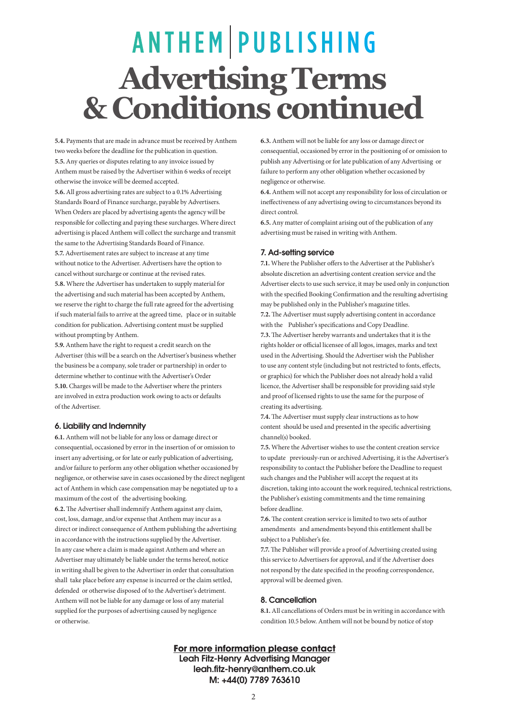# ANTHEM PUBLISHING **Advertising Terms & Conditions continued**

**5.4.** Payments that are made in advance must be received by Anthem two weeks before the deadline for the publication in question. **5.5.** Any queries or disputes relating to any invoice issued by Anthem must be raised by the Advertiser within 6 weeks of receipt otherwise the invoice will be deemed accepted.

**5.6.** All gross advertising rates are subject to a 0.1% Advertising Standards Board of Finance surcharge, payable by Advertisers. When Orders are placed by advertising agents the agency will be responsible for collecting and paying these surcharges. Where direct advertising is placed Anthem will collect the surcharge and transmit the same to the Advertising Standards Board of Finance. **5.7.** Advertisement rates are subject to increase at any time without notice to the Advertiser. Advertisers have the option to cancel without surcharge or continue at the revised rates. **5.8.** Where the Advertiser has undertaken to supply material for the advertising and such material has been accepted by Anthem, we reserve the right to charge the full rate agreed for the advertising if such material fails to arrive at the agreed time, place or in suitable condition for publication. Advertising content must be supplied without prompting by Anthem.

**5.9.** Anthem have the right to request a credit search on the Advertiser (this will be a search on the Advertiser's business whether the business be a company, sole trader or partnership) in order to determine whether to continue with the Advertiser's Order **5.10.** Charges will be made to the Advertiser where the printers are involved in extra production work owing to acts or defaults of the Advertiser.

## 6. Liability and Indemnity

or otherwise.

**6.1.** Anthem will not be liable for any loss or damage direct or consequential, occasioned by error in the insertion of or omission to insert any advertising, or for late or early publication of advertising, and/or failure to perform any other obligation whether occasioned by negligence, or otherwise save in cases occasioned by the direct negligent act of Anthem in which case compensation may be negotiated up to a maximum of the cost of the advertising booking. **6.2.** The Advertiser shall indemnify Anthem against any claim, cost, loss, damage, and/or expense that Anthem may incur as a direct or indirect consequence of Anthem publishing the advertising in accordance with the instructions supplied by the Advertiser. In any case where a claim is made against Anthem and where an Advertiser may ultimately be liable under the terms hereof, notice in writing shall be given to the Advertiser in order that consultation shall take place before any expense is incurred or the claim settled, defended or otherwise disposed of to the Advertiser's detriment. Anthem will not be liable for any damage or loss of any material supplied for the purposes of advertising caused by negligence

**6.3.** Anthem will not be liable for any loss or damage direct or consequential, occasioned by error in the positioning of or omission to publish any Advertising or for late publication of any Advertising or failure to perform any other obligation whether occasioned by negligence or otherwise.

**6.4.** Anthem will not accept any responsibility for loss of circulation or ineffectiveness of any advertising owing to circumstances beyond its direct control.

**6.5.** Any matter of complaint arising out of the publication of any advertising must be raised in writing with Anthem.

## 7. Ad-setting service

**7.1.** Where the Publisher offers to the Advertiser at the Publisher's absolute discretion an advertising content creation service and the Advertiser elects to use such service, it may be used only in conjunction with the specified Booking Confirmation and the resulting advertising may be published only in the Publisher's magazine titles. **7.2.** The Advertiser must supply advertising content in accordance with the Publisher's specifications and Copy Deadline. **7.3.** The Advertiser hereby warrants and undertakes that it is the rights holder or official licensee of all logos, images, marks and text used in the Advertising. Should the Advertiser wish the Publisher to use any content style (including but not restricted to fonts, effects, or graphics) for which the Publisher does not already hold a valid licence, the Advertiser shall be responsible for providing said style and proof of licensed rights to use the same for the purpose of creating its advertising.

**7.4.** The Advertiser must supply clear instructions as to how content should be used and presented in the specific advertising channel(s) booked.

**7.5.** Where the Advertiser wishes to use the content creation service to update previously-run or archived Advertising, it is the Advertiser's responsibility to contact the Publisher before the Deadline to request such changes and the Publisher will accept the request at its discretion, taking into account the work required, technical restrictions, the Publisher's existing commitments and the time remaining before deadline.

**7.6.** The content creation service is limited to two sets of author amendments and amendments beyond this entitlement shall be subject to a Publisher's fee.

**7.7.** The Publisher will provide a proof of Advertising created using this service to Advertisers for approval, and if the Advertiser does not respond by the date specified in the proofing correspondence, approval will be deemed given.

# 8. Cancellation

**8.1.** All cancellations of Orders must be in writing in accordance with condition 10.5 below. Anthem will not be bound by notice of stop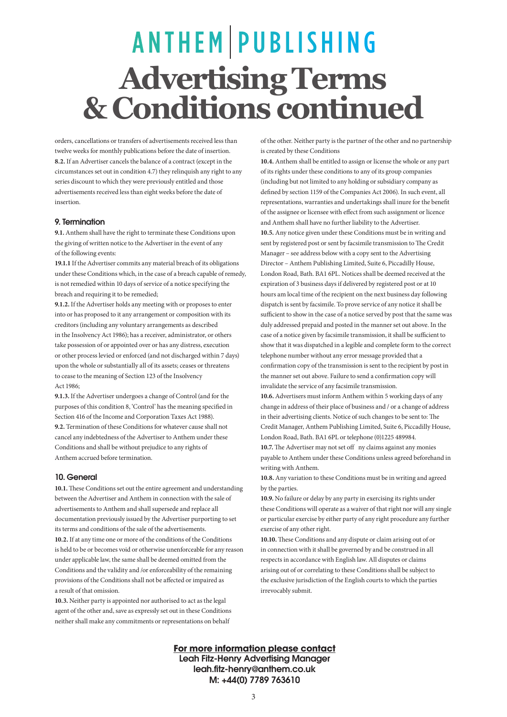# **ANTHEM PUBLISHING Advertising Terms & Conditions continued**

orders, cancellations or transfers of advertisements received less than twelve weeks for monthly publications before the date of insertion. **8.2.** If an Advertiser cancels the balance of a contract (except in the circumstances set out in condition 4.7) they relinquish any right to any series discount to which they were previously entitled and those advertisements received less than eight weeks before the date of insertion.

## 9. Termination

**9.1.** Anthem shall have the right to terminate these Conditions upon the giving of written notice to the Advertiser in the event of any of the following events:

**19.1.1** If the Advertiser commits any material breach of its obligations under these Conditions which, in the case of a breach capable of remedy, is not remedied within 10 days of service of a notice specifying the breach and requiring it to be remedied;

**9.1.2.** If the Advertiser holds any meeting with or proposes to enter into or has proposed to it any arrangement or composition with its creditors (including any voluntary arrangements as described in the Insolvency Act 1986); has a receiver, administrator, or others take possession of or appointed over or has any distress, execution or other process levied or enforced (and not discharged within 7 days) upon the whole or substantially all of its assets; ceases or threatens to cease to the meaning of Section 123 of the Insolvency  $Act 1986$ 

**9.1.3.** If the Advertiser undergoes a change of Control (and for the purposes of this condition 8, 'Control' has the meaning specified in Section 416 of the Income and Corporation Taxes Act 1988). **9.2.** Termination of these Conditions for whatever cause shall not cancel any indebtedness of the Advertiser to Anthem under these Conditions and shall be without prejudice to any rights of Anthem accrued before termination.

## 10. General

**10.1.** These Conditions set out the entire agreement and understanding between the Advertiser and Anthem in connection with the sale of advertisements to Anthem and shall supersede and replace all documentation previously issued by the Advertiser purporting to set its terms and conditions of the sale of the advertisements. **10.2.** If at any time one or more of the conditions of the Conditions is held to be or becomes void or otherwise unenforceable for any reason under applicable law, the same shall be deemed omitted from the Conditions and the validity and /or enforceability of the remaining provisions of the Conditions shall not be affected or impaired as a result of that omission.

**10.3.** Neither party is appointed nor authorised to act as the legal agent of the other and, save as expressly set out in these Conditions neither shall make any commitments or representations on behalf

of the other. Neither party is the partner of the other and no partnership is created by these Conditions

**10.4.** Anthem shall be entitled to assign or license the whole or any part of its rights under these conditions to any of its group companies (including but not limited to any holding or subsidiary company as defined by section 1159 of the Companies Act 2006). In such event, all representations, warranties and undertakings shall inure for the benefit of the assignee or licensee with effect from such assignment or licence and Anthem shall have no further liability to the Advertiser. **10.5.** Any notice given under these Conditions must be in writing and sent by registered post or sent by facsimile transmission to The Credit Manager – see address below with a copy sent to the Advertising Director – Anthem Publishing Limited, Suite 6, Piccadilly House, London Road, Bath. BA1 6PL. Notices shall be deemed received at the expiration of 3 business days if delivered by registered post or at 10 hours am local time of the recipient on the next business day following dispatch is sent by facsimile. To prove service of any notice it shall be sufficient to show in the case of a notice served by post that the same was duly addressed prepaid and posted in the manner set out above. In the case of a notice given by facsimile transmission, it shall be sufficient to show that it was dispatched in a legible and complete form to the correct telephone number without any error message provided that a confirmation copy of the transmission is sent to the recipient by post in the manner set out above. Failure to send a confirmation copy will invalidate the service of any facsimile transmission.

**10.6.** Advertisers must inform Anthem within 5 working days of any change in address of their place of business and / or a change of address in their advertising clients. Notice of such changes to be sent to: The Credit Manager, Anthem Publishing Limited, Suite 6, Piccadilly House, London Road, Bath. BA1 6PL or telephone (0)1225 489984.

**10.7.** The Advertiser may not set off ny claims against any monies payable to Anthem under these Conditions unless agreed beforehand in writing with Anthem.

**10.8.** Any variation to these Conditions must be in writing and agreed by the parties.

**10.9.** No failure or delay by any party in exercising its rights under these Conditions will operate as a waiver of that right nor will any single or particular exercise by either party of any right procedure any further exercise of any other right.

**10.10.** These Conditions and any dispute or claim arising out of or in connection with it shall be governed by and be construed in all respects in accordance with English law. All disputes or claims arising out of or correlating to these Conditions shall be subject to the exclusive jurisdiction of the English courts to which the parties irrevocably submit.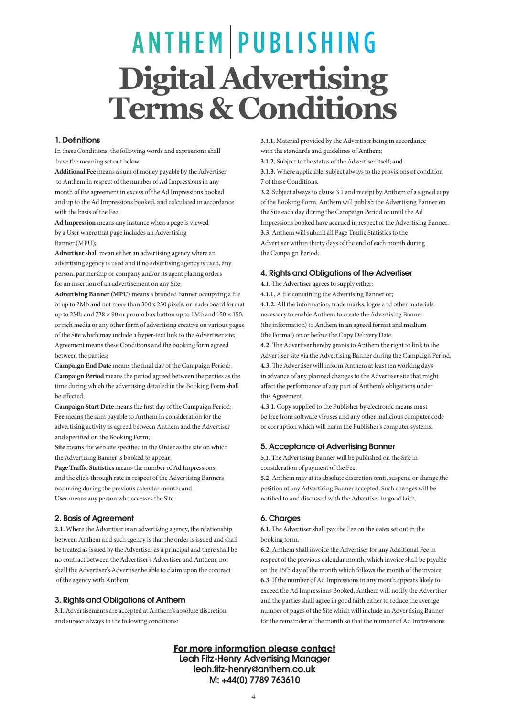# **ANTHEM PUBLISHING Digital Advertising Terms & Conditions**

#### 1. Definitions

In these Conditions, the following words and expressions shall have the meaning set out below:

**Additional Fee** means a sum of money payable by the Advertiser to Anthem in respect of the number of Ad Impressions in any month of the agreement in excess of the Ad Impressions booked and up to the Ad Impressions booked, and calculated in accordance with the basis of the Fee;

**Ad Impression** means any instance when a page is viewed by a User where that page includes an Advertising Banner (MPU);

**Advertiser** shall mean either an advertising agency where an advertising agency is used and if no advertising agency is used, any person, partnership or company and/or its agent placing orders for an insertion of an advertisement on any Site;

**Advertising Banner (MPU)** means a branded banner occupying a file of up to 2Mb and not more than 300 x 250 pixels, or leaderboard format up to 2Mb and  $728 \times 90$  or promo box button up to 1Mb and  $150 \times 150$ , or rich media or any other form of advertising creative on various pages of the Site which may include a hyper-text link to the Advertiser site; Agreement means these Conditions and the booking form agreed between the parties;

**Campaign End Date** means the final day of the Campaign Period; **Campaign Period** means the period agreed between the parties as the time during which the advertising detailed in the Booking Form shall be effected;

**Campaign Start Date** means the first day of the Campaign Period; **Fee** means the sum payable to Anthem in consideration for the advertising activity as agreed between Anthem and the Advertiser and specified on the Booking Form;

Site means the web site specified in the Order as the site on which the Advertising Banner is booked to appear;

**Page Traffic Statistics** means the number of Ad Impressions, and the click-through rate in respect of the Advertising Banners occurring during the previous calendar month; and **User** means any person who accesses the Site.

#### 2. Basis of Agreement

**2.1.** Where the Advertiser is an advertising agency, the relationship between Anthem and such agency is that the order is issued and shall be treated as issued by the Advertiser as a principal and there shall be no contract between the Advertiser's Advertiser and Anthem, nor shall the Advertiser's Advertiser be able to claim upon the contract of the agency with Anthem.

#### 3. Rights and Obligations of Anthem

**3.1.** Advertisements are accepted at Anthem's absolute discretion and subject always to the following conditions:

**3.1.1.** Material provided by the Advertiser being in accordance with the standards and guidelines of Anthem;

**3.1.2.** Subject to the status of the Advertiser itself; and

**3.1.3.** Where applicable, subject always to the provisions of condition 7 of these Conditions.

**3.2.** Subject always to clause 3.1 and receipt by Anthem of a signed copy of the Booking Form, Anthem will publish the Advertising Banner on the Site each day during the Campaign Period or until the Ad Impressions booked have accrued in respect of the Advertising Banner. **3.3.** Anthem will submit all Page Traffic Statistics to the Advertiser within thirty days of the end of each month during the Campaign Period.

#### 4. Rights and Obligations of the Advertiser

**4.1.** The Advertiser agrees to supply either:

**4.1.1.** A file containing the Advertising Banner or; **4.1.2.** All the information, trade marks, logos and other materials necessary to enable Anthem to create the Advertising Banner (the information) to Anthem in an agreed format and medium (the Format) on or before the Copy Delivery Date.

**4.2.** The Advertiser hereby grants to Anthem the right to link to the Advertiser site via the Advertising Banner during the Campaign Period. **4.3.** The Advertiser will inform Anthem at least ten working days in advance of any planned changes to the Advertiser site that might affect the performance of any part of Anthem's obligations under this Agreement.

**4.3.1.** Copy supplied to the Publisher by electronic means must be free from software viruses and any other malicious computer code or corruption which will harm the Publisher's computer systems.

## 5. Acceptance of Advertising Banner

**5.1.** The Advertising Banner will be published on the Site in consideration of payment of the Fee.

**5.2.** Anthem may at its absolute discretion omit, suspend or change the position of any Advertising Banner accepted. Such changes will be notified to and discussed with the Advertiser in good faith.

## 6. Charges

**6.1.** The Advertiser shall pay the Fee on the dates set out in the booking form.

**6.2.** Anthem shall invoice the Advertiser for any Additional Fee in respect of the previous calendar month, which invoice shall be payable on the 15th day of the month which follows the month of the invoice. **6.3.** If the number of Ad Impressions in any month appears likely to exceed the Ad Impressions Booked, Anthem will notify the Advertiser and the parties shall agree in good faith either to reduce the average number of pages of the Site which will include an Advertising Banner for the remainder of the month so that the number of Ad Impressions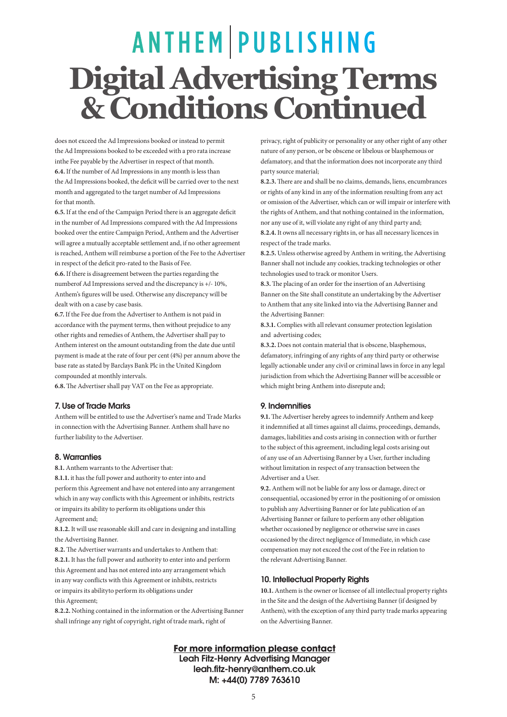# **ANTHEM PUBLISHING Digital Advertising Terms & Conditions Continued**

does not exceed the Ad Impressions booked or instead to permit the Ad Impressions booked to be exceeded with a pro rata increase inthe Fee payable by the Advertiser in respect of that month. **6.4.** If the number of Ad Impressions in any month is less than the Ad Impressions booked, the deficit will be carried over to the next month and aggregated to the target number of Ad Impressions for that month.

**6.5.** If at the end of the Campaign Period there is an aggregate deficit in the number of Ad Impressions compared with the Ad Impressions booked over the entire Campaign Period, Anthem and the Advertiser will agree a mutually acceptable settlement and, if no other agreement is reached, Anthem will reimburse a portion of the Fee to the Advertiser in respect of the deficit pro-rated to the Basis of Fee.

**6.6.** If there is disagreement between the parties regarding the numberof Ad Impressions served and the discrepancy is +/- 10%, Anthem's figures will be used. Otherwise any discrepancy will be dealt with on a case by case basis.

**6.7.** If the Fee due from the Advertiser to Anthem is not paid in accordance with the payment terms, then without prejudice to any other rights and remedies of Anthem, the Advertiser shall pay to Anthem interest on the amount outstanding from the date due until payment is made at the rate of four per cent (4%) per annum above the base rate as stated by Barclays Bank Plc in the United Kingdom compounded at monthly intervals.

**6.8.** The Advertiser shall pay VAT on the Fee as appropriate.

#### 7. Use of Trade Marks

Anthem will be entitled to use the Advertiser's name and Trade Marks in connection with the Advertising Banner. Anthem shall have no further liability to the Advertiser.

#### 8. Warranties

**8.1.** Anthem warrants to the Advertiser that:

**8.1.1.** it has the full power and authority to enter into and perform this Agreement and have not entered into any arrangement which in any way conflicts with this Agreement or inhibits, restricts or impairs its ability to perform its obligations under this Agreement and;

**8.1.2.** It will use reasonable skill and care in designing and installing the Advertising Banner.

**8.2.** The Advertiser warrants and undertakes to Anthem that: **8.2.1.** It has the full power and authority to enter into and perform this Agreement and has not entered into any arrangement which in any way conflicts with this Agreement or inhibits, restricts or impairs its abilityto perform its obligations under this Agreement;

**8.2.2.** Nothing contained in the information or the Advertising Banner shall infringe any right of copyright, right of trade mark, right of

privacy, right of publicity or personality or any other right of any other nature of any person, or be obscene or libelous or blasphemous or defamatory, and that the information does not incorporate any third party source material;

**8.2.3.** There are and shall be no claims, demands, liens, encumbrances or rights of any kind in any of the information resulting from any act or omission of the Advertiser, which can or will impair or interfere with the rights of Anthem, and that nothing contained in the information, nor any use of it, will violate any right of any third party and; **8.2.4.** It owns all necessary rights in, or has all necessary licences in respect of the trade marks.

**8.2.5.** Unless otherwise agreed by Anthem in writing, the Advertising Banner shall not include any cookies, tracking technologies or other technologies used to track or monitor Users.

**8.3.** The placing of an order for the insertion of an Advertising Banner on the Site shall constitute an undertaking by the Advertiser to Anthem that any site linked into via the Advertising Banner and the Advertising Banner:

**8.3.1.** Complies with all relevant consumer protection legislation and advertising codes;

**8.3.2.** Does not contain material that is obscene, blasphemous, defamatory, infringing of any rights of any third party or otherwise legally actionable under any civil or criminal laws in force in any legal jurisdiction from which the Advertising Banner will be accessible or which might bring Anthem into disrepute and;

#### 9. Indemnities

**9.1.** The Advertiser hereby agrees to indemnify Anthem and keep it indemnified at all times against all claims, proceedings, demands, damages, liabilities and costs arising in connection with or further to the subject of this agreement, including legal costs arising out of any use of an Advertising Banner by a User, further including without limitation in respect of any transaction between the Advertiser and a User.

**9.2.** Anthem will not be liable for any loss or damage, direct or consequential, occasioned by error in the positioning of or omission to publish any Advertising Banner or for late publication of an Advertising Banner or failure to perform any other obligation whether occasioned by negligence or otherwise save in cases occasioned by the direct negligence of Immediate, in which case compensation may not exceed the cost of the Fee in relation to the relevant Advertising Banner.

#### 10. Intellectual Property Rights

**10.1.** Anthem is the owner or licensee of all intellectual property rights in the Site and the design of the Advertising Banner (if designed by Anthem), with the exception of any third party trade marks appearing on the Advertising Banner.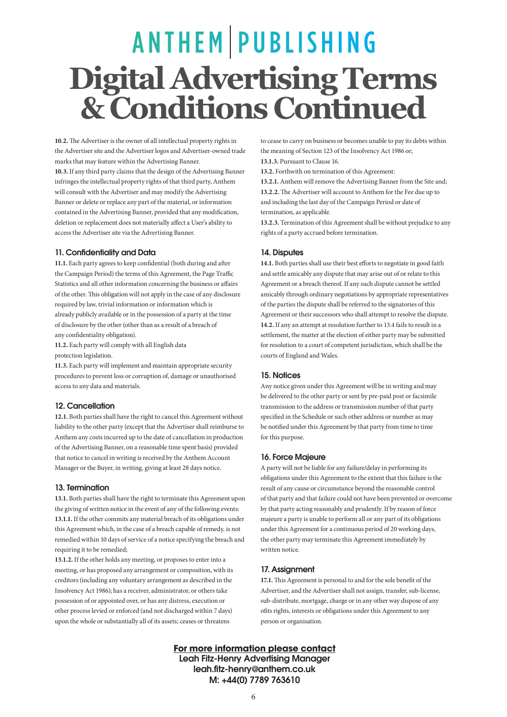# **ANTHEM PUBLISHING Digital Advertising Terms & Conditions Continued**

**10.2.** The Advertiser is the owner of all intellectual property rights in the Advertiser site and the Advertiser logos and Advertiser-owned trade marks that may feature within the Advertising Banner. **10.3.** If any third party claims that the design of the Advertising Banner infringes the intellectual property rights of that third party, Anthem will consult with the Advertiser and may modify the Advertising Banner or delete or replace any part of the material, or information contained in the Advertising Banner, provided that any modification, deletion or replacement does not materially affect a User's ability to access the Advertiser site via the Advertising Banner.

## 11. Confidentiality and Data

**11.1.** Each party agrees to keep confidential (both during and after the Campaign Period) the terms of this Agreement, the Page Traffic Statistics and all other information concerning the business or affairs of the other. This obligation will not apply in the case of any disclosure required by law, trivial information or information which is already publicly available or in the possession of a party at the time of disclosure by the other (other than as a result of a breach of any confidentiality obligation).

**11.2.** Each party will comply with all English data

protection legislation.

**11.3.** Each party will implement and maintain appropriate security procedures to prevent loss or corruption of, damage or unauthorised access to any data and materials.

## 12. Cancellation

**12.1.** Both parties shall have the right to cancel this Agreement without liability to the other party (except that the Advertiser shall reimburse to Anthem any costs incurred up to the date of cancellation in production of the Advertising Banner, on a reasonable time spent basis) provided that notice to cancel in writing is received by the Anthem Account Manager or the Buyer, in writing, giving at least 28 days notice.

## 13. Termination

**13.1.** Both parties shall have the right to terminate this Agreement upon the giving of written notice in the event of any of the following events: **13.1.1.** If the other commits any material breach of its obligations under this Agreement which, in the case of a breach capable of remedy, is not remedied within 10 days of service of a notice specifying the breach and requiring it to be remedied;

**13.1.2.** If the other holds any meeting, or proposes to enter into a meeting, or has proposed any arrangement or composition, with its creditors (including any voluntary arrangement as described in the Insolvency Act 1986); has a receiver, administrator, or others take possession of or appointed over, or has any distress, execution or other process levied or enforced (and not discharged within 7 days) upon the whole or substantially all of its assets; ceases or threatens

to cease to carry on business or becomes unable to pay its debts within the meaning of Section 123 of the Insolvency Act 1986 or;

**13.1.3.** Pursuant to Clause 16.

**13.2.** Forthwith on termination of this Agreement:

**13.2.1.** Anthem will remove the Advertising Banner from the Site and; **13.2.2.** The Advertiser will account to Anthem for the Fee due up to and including the last day of the Campaign Period or date of termination, as applicable.

**13.2.3.** Termination of this Agreement shall be without prejudice to any rights of a party accrued before termination.

## 14. Disputes

**14.1.** Both parties shall use their best efforts to negotiate in good faith and settle amicably any dispute that may arise out of or relate to this Agreement or a breach thereof. If any such dispute cannot be settled amicably through ordinary negotiations by appropriate representatives of the parties the dispute shall be referred to the signatories of this Agreement or their successors who shall attempt to resolve the dispute. **14.2.** If any an attempt at resolution further to 13.4 fails to result in a settlement, the matter at the election of either party may be submitted for resolution to a court of competent jurisdiction, which shall be the courts of England and Wales.

#### 15. Notices

Any notice given under this Agreement will be in writing and may be delivered to the other party or sent by pre-paid post or facsimile transmission to the address or transmission number of that party specified in the Schedule or such other address or number as may be notified under this Agreement by that party from time to time for this purpose.

## 16. Force Majeure

A party will not be liable for any failure/delay in performing its obligations under this Agreement to the extent that this failure is the result of any cause or circumstance beyond the reasonable control of that party and that failure could not have been prevented or overcome by that party acting reasonably and prudently. If by reason of force majeure a party is unable to perform all or any part of its obligations under this Agreement for a continuous period of 20 working days, the other party may terminate this Agreement immediately by written notice.

## 17. Assignment

**17.1.** This Agreement is personal to and for the sole benefit of the Advertiser, and the Advertiser shall not assign, transfer, sub-license, sub-distribute, mortgage, charge or in any other way dispose of any ofits rights, interests or obligations under this Agreement to any person or organisation.